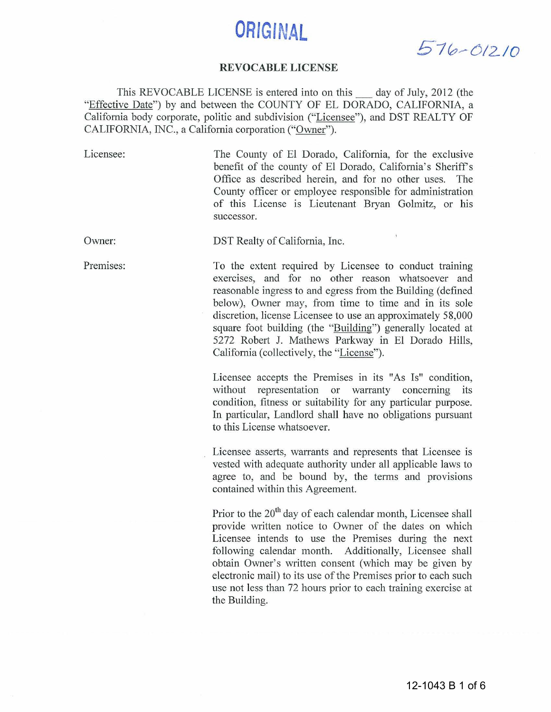# **ORIGINAL**

*5 1 0 -- 6 12 10* 

#### **REVOCABLE LICENSE**

This REVOCABLE LICENSE is entered into on this \_ day of July, 2012 (the "Effective Date") by and between the COUNTY OF EL DORADO, CALIFORNIA, a California body corporate, politic and subdivision ("Licensee"), and DST REALTY OF CALIFORNIA, INC., a California corporation ("Owner").

| Licensee: | The County of El Dorado, California, for the exclusive<br>benefit of the county of El Dorado, California's Sheriff's<br>Office as described herein, and for no other uses.<br>The<br>County officer or employee responsible for administration<br>of this License is Lieutenant Bryan Golmitz, or his<br>successor.                                                                                                                                                                                                                                                                                                                                                                                                                              |
|-----------|--------------------------------------------------------------------------------------------------------------------------------------------------------------------------------------------------------------------------------------------------------------------------------------------------------------------------------------------------------------------------------------------------------------------------------------------------------------------------------------------------------------------------------------------------------------------------------------------------------------------------------------------------------------------------------------------------------------------------------------------------|
| Owner:    | DST Realty of California, Inc.                                                                                                                                                                                                                                                                                                                                                                                                                                                                                                                                                                                                                                                                                                                   |
| Premises: | To the extent required by Licensee to conduct training<br>exercises, and for no other reason whatsoever and<br>reasonable ingress to and egress from the Building (defined<br>below), Owner may, from time to time and in its sole<br>discretion, license Licensee to use an approximately 58,000<br>square foot building (the "Building") generally located at<br>5272 Robert J. Mathews Parkway in El Dorado Hills,<br>California (collectively, the "License").<br>Licensee accepts the Premises in its "As Is" condition,<br>without representation or warranty concerning its<br>condition, fitness or suitability for any particular purpose.<br>In particular, Landlord shall have no obligations pursuant<br>to this License whatsoever. |
|           | Licensee asserts, warrants and represents that Licensee is<br>vested with adequate authority under all applicable laws to<br>agree to, and be bound by, the terms and provisions<br>contained within this Agreement.<br>Prior to the 20 <sup>th</sup> day of each calendar month, Licensee shall<br>provide written notice to Owner of the dates on which                                                                                                                                                                                                                                                                                                                                                                                        |
|           | Licensee intends to use the Premises during the next<br>following calendar month. Additionally, Licensee shall<br>obtain Owner's written consent (which may be given by<br>electronic mail) to its use of the Premises prior to each such<br>use not less than 72 hours prior to each training exercise at<br>the Building.                                                                                                                                                                                                                                                                                                                                                                                                                      |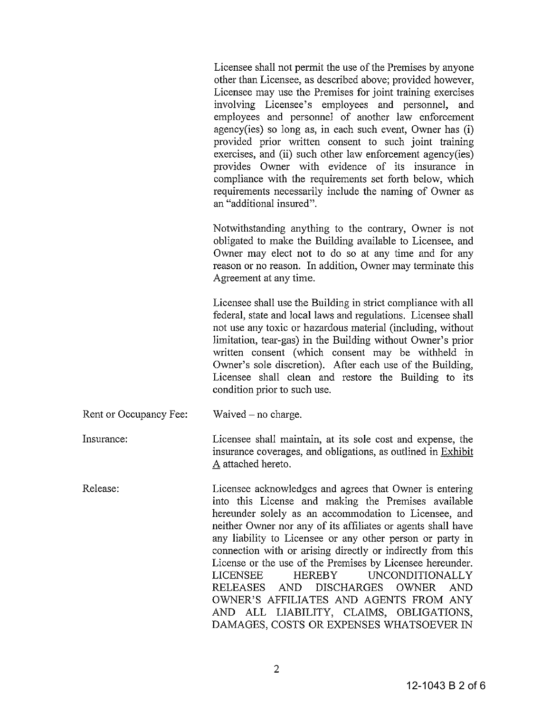Licensee shall not permit the use of the Premises by anyone other than Licensee, as described above; provided however, Licensee may use the Premises for joint training exercises involving Licensee's employees and personnel, and employees and personnel of another law enforcement agency(ies) so long as, in each such event, Owner has (i) provided prior written consent to such joint training exercises, and (ii) such other law enforcement agency(ies) provides Owner with evidence of its insurance in compliance with the requirements set forth below, which requirements necessarily include the naming of Owner as an "additional insured".

Notwithstanding anything to the contrary, Owner is not obligated to make the Building available to Licensee, and Owner may elect not to do so at any time and for any reason or no reason. In addition, Owner may terminate this Agreement at any time.

Licensee shall use the Building in strict compliance with all federal, state and local laws and regulations. Licensee shall not use any toxic or hazardous material (including, without limitation, tear-gas) in the Building without Owner's prior written consent (which consent may be withheld in Owner's sole discretion). After each use of the Building, Licensee shall clean and restore the Building to its condition prior to such use.

Rent or Occupancy Fee: Waived  $-$  no charge.

Insurance: Licensee shall maintain, at its sole cost and expense, the insurance coverages, and obligations, as outlined in Exhibit A attached hereto.

Release: Licensee acknowledges and agrees that Owner is entering into this License and making the Premises available hereunder solely as an accommodation to Licensee, and neither Owner nor any of its affiliates or agents shall have any liability to Licensee or any other person or party in connection with or arising directly or indirectly from this License or the use of the Premises by Licensee hereunder. LICENSEE HEREBY UNCONDITIONALLY RELEASES AND DISCHARGES OWNER AND OWNER'S AFFILIATES AND AGENTS FROM ANY AND ALL LIABILITY, CLAIMS, OBLIGATIONS, DAMAGES, COSTS OR EXPENSES WHATSOEVER IN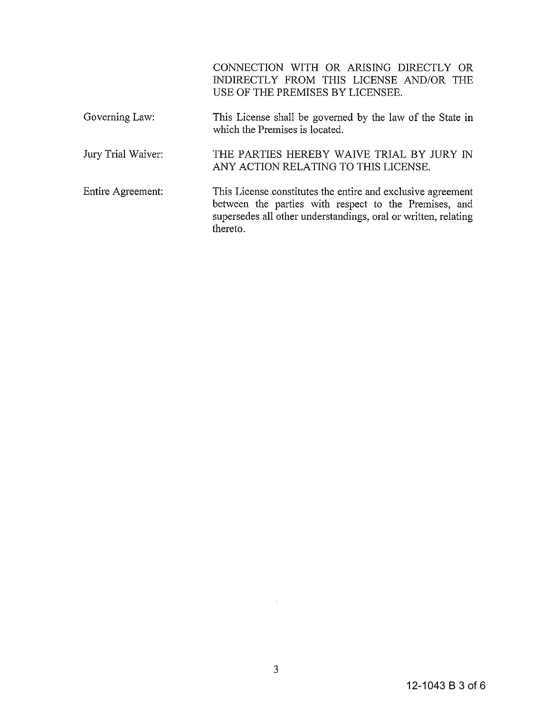CONNECTION WITH OR ARISING DIRECTLY OR INDIRECTLY FROM THIS LICENSE AND/OR THE USE OF THE PREMISES BY LICENSEE.

- Governing Law: Jury Trial Waiver: This License shall be governed by the law of the State in which the Premises is located. THE PARTIES HEREBY WAIVE TRIAL BY JURY IN ANY ACTION RELATING TO THIS LICENSE.
- Entire Agreement: This License constitutes the entire and exclusive agreement between the parties with respect to the Premises, and supersedes all other understandings, oral or written, relating thereto.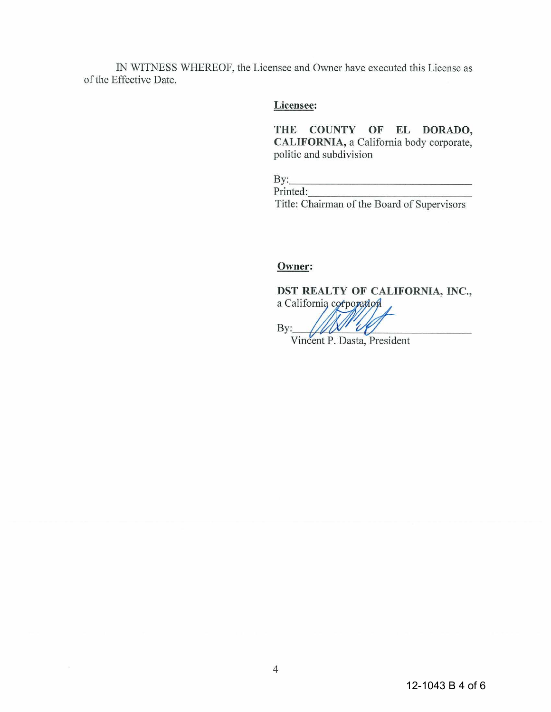IN WITNESS WHEREOF, the Licensee and Owner have executed this License as of the Effective Date.

### **Licensee:**

**THE COUNTY OF EL DORADO, CALIFORNIA,** a California body corporate, politic and subdivision

 $\mathbf{By:}$ Printed: Title: Chairman of the Board of Supervisors

## **Owner:**

**DST REALTY OF CALIFORNIA, INC., Owner:**<br> **DST REALTY OF CALIFORNIA, INC.,**<br>
a California corporation

Vincent P. Dasta, President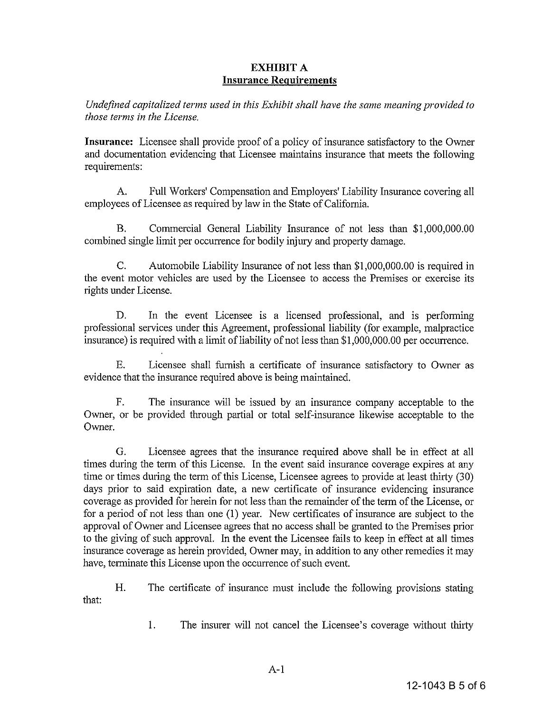#### **EXHIBIT** A **Insurance Requirements**

*Undefined capitalized terms used in this Exhibit shall have the same meaning provided to those terms in the License.* 

**Insurance:** Licensee shall provide proof of a policy of insurance satisfactory to the Owner and documentation evidencing that Licensee maintains insurance that meets the following requirements:

A. Full Workers' Compensation and Employers' Liability Insurance covering all employees of Licensee as required by law in the State of California.

B. Commercial General Liability Insurance of not less than \$1,000,000.00 combined single limit per occurrence for bodily injury and property damage.

C. Automobile Liability Insurance of not less than \$1,000,000.00 is required in the event motor vehicles are used by the Licensee to access the Premises or exercise its rights under License.

D. In the event Licensee is a licensed professional, and is performing professional services tmder this Agreement, professional liability (for example, malpractice insurance) is required with a limit of liability of not less than \$1,000,000.00 per occurrence.

E. Licensee shall furnish a certificate of insurance satisfactory to Owner as evidence that the insurance required above is being maintained.

F. The insurance will be issued by an insurance company acceptable to the Owner, or be provided through partial or total self-insurance likewise acceptable to the Owner.

G. Licensee agrees that the insurance required above shall be in effect at all times during the term of this License. In the event said insurance coverage expires at any time or times during the term of this License, Licensee agrees to provide at least thirty (30) days prior to said expiration date, a new certificate of insurance evidencing insurance coverage as provided for herein for not less than the remainder of the term of the License, or for a period of not less than one (1) year. New certificates of insurance are subject to the approval of Owner and Licensee agrees that no access shall be granted to the Premises prior to the giving of such approval. In the event the Licensee fails to keep in effect at all times insurance coverage as herein provided, Owner may, in addition to any other remedies it may have, terminate this License upon the occurrence of such event.

H. The certificate of insurance must include the following provisions stating that:

1. The insurer will not cancel the Licensee's coverage without thirty